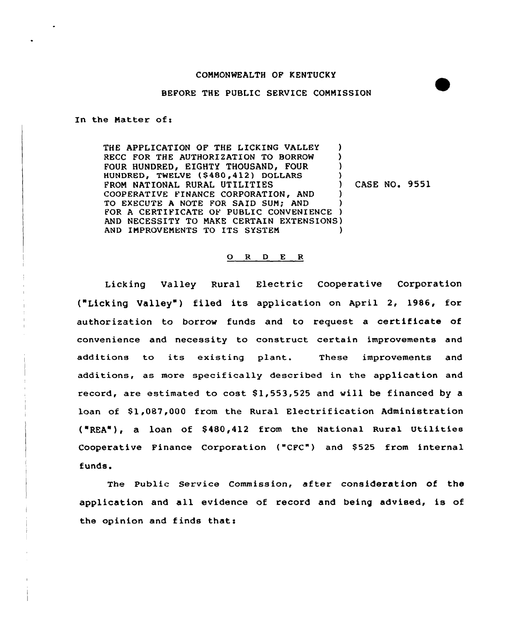## COMMONWEALTH OF KENTUCKY

## BEFORE THE PUBLIC SERVICE CONMISSION

In the Matter of:

THE APPLICATION OF THE LICKING VALLEY (a)<br>RECC FOR THE AUTHORIZATION TO BORROW (b) RECC FOR THE AUTHORIZATION TO BORROW (NOTE) FOUR HUNDRED, EIGHTY THOUSAND, FOUR HUNDRED, TWELVE (\$480,412) DOLLARS )<br>FROM NATIONAL RURAL UTILITIES ) FROM NATIONAL RURAL UTILITIES (ASE NO. 9551 COOPERATIVE FINANCE CORPORATION, AND TO EXECUTE A NOTE FOR SAID SUM; AND ) FOR A CERTIFICATE OF PUBLIC CONVENIENCE ) AND NECESSITY TO NAKE CERTAIN EXTENSIONS) AND IMPROVEMENTS TO ITS SYSTEM  $)$ 

## Q R D E R

Licking Valley Rural Electric Cooperative Corporation ("Licking Valley ) filed its application on April 2, 1986, for authorization to borrow funds and to request a certificate of convenience and necessity to construct certain improvements and additions to its existing plant. These improvements and additions, as more specifically described in the application and record, are estimated to cost Sl,553,525 and will be financed by a loan of \$1,087,000 from the Rural Electrification Administration ("REA"), a loan of \$480,412 from the National Rural Utilities Cooperative Finance Corporation ("CFC") and \$525 from internal funds.

The public Service Commission, after consideration of the application and all evidence of record and being advised, is of the opinion and finds that: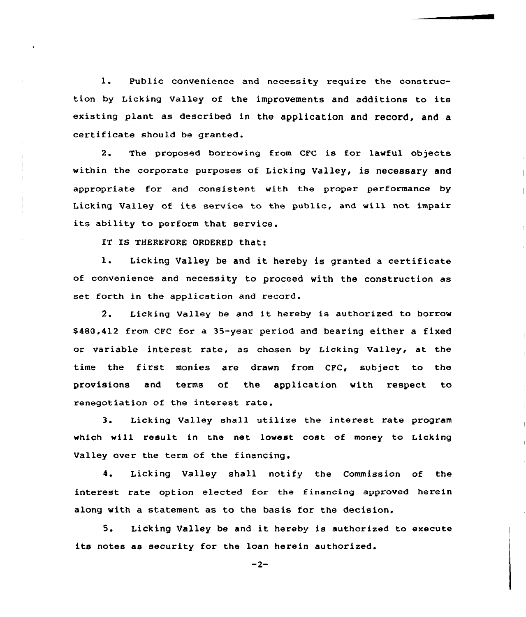1. Public convenience and necessity require the construction by Licking Valley of the improvements and additions to its existing plant as described in the application and record, and a certificate should be granted.

2. The proposed borrowing from CFC is for lawful objects within the corporate purposes of Licking Valley, is necessary and appropriate for and consistent with the proper performance by Licking Valley of its service to the public, and will not impair its ability to perform that service.

IT IS THEREFORE ORDERED that:

1. Licking Valley be and it hereby is granted a certificate of convenience and necessity to proceed with the construction as set forth in the application and record.

2. Licking Valley be and it hereby is authorized to borrow \$480,412 from CFC for a 35-year period and bearing either a fixed or variable interest rate, as chosen by Licking valley, at the time the first monies are drawn from CFC, subject to the provisions and terms of the application with respect to renegotiation of the interest rate.

3. Licking Valley shall utilize the interest rate program which will result in the net lowest cost of money to Licking Valley over the term of the financing.

4. Licking Valley shall notify the Commission of the interest rate option elected for the financing approved herein along with a statement as to the basis for the decision.

5. Licking Valley be and it hereby is authorized to execute its notes as security for the loan herein authorized.

 $-2-$